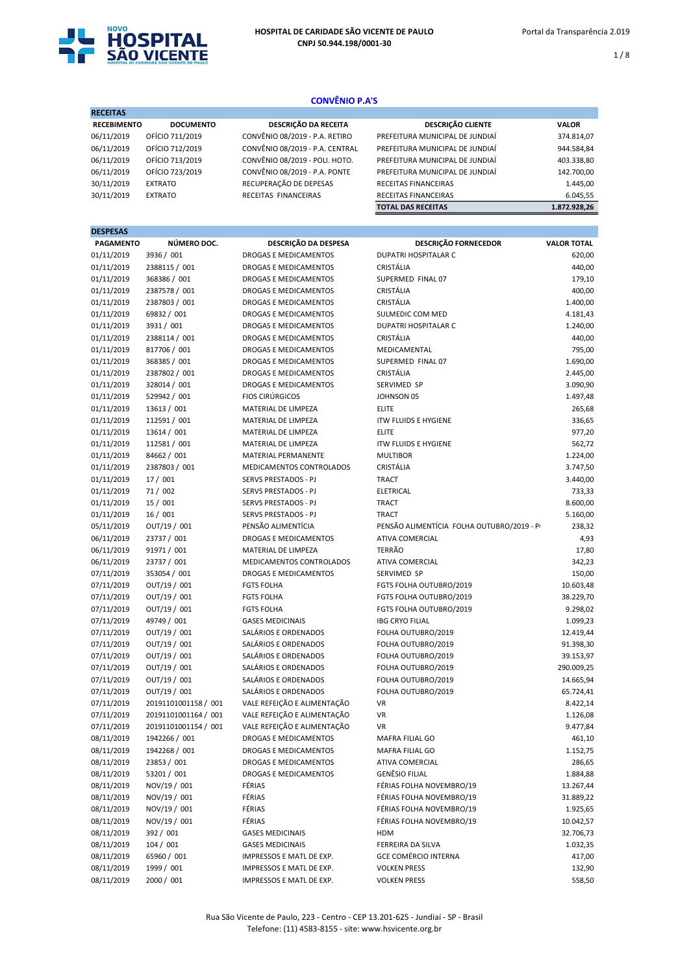

 $1/8$ 

# RECEITAS RECEBIMENTO DOCUMENTO DESCRIÇÃO DA RECEITA DESCRIÇÃO CLIENTE VALOR<br>06/11/2019 OFÍCIO 711/2019 CONVÊNIO 08/2019 - P.A. RETIRO PREFEITURA MUNICIPAL DE JUNDIAÍ 374.81 PREFEITURA MUNICIPAL DE JUNDIAÍ  $374.814,07$ 06/11/2019 OFÍCIO 712/2019 CONVÊNIO 08/2019 - P.A. CENTRAL PREFEITURA MUNICIPAL DE JUNDIAÍ 944.584,84<br>06/11/2019 OFÍCIO 713/2019 CONVÊNIO 08/2019 - POLI. HOTO. PREFEITURA MUNICIPAL DE JUNDIAÍ 403.338,80 06/11/2019 OFÍCIO 713/2019 CONVÊNIO 08/2019 - POLI. HOTO. PREFEITURA MUNICIPAL DE JUNDIAÍ 403.338,80 06/11/2019 OFÍCIO 723/2019 CONVÊNIO 08/2019 - P.A. PONTE PREFEITURA MUNICIPAL DE JUNDIAÍ 142.700,00 30/11/2019 EXTRATO RECUPERAÇÃO DE DEPESAS RECEITAS FINANCEIRAS 1.445,00 RECEITAS FINANCEIRAS TOTAL DAS RECEITAS 1.872.928,26 **DESPESAS** PAGAMENTO NÚMERO DOC. DESCRIÇÃO DA DESPESA DESCRIÇÃO FORNECEDOR VALOR TOTAL 01/11/2019 3936 / 001 DROGAS E MEDICAMENTOS DUPATRI HOSPITALAR C 620,00 01/11/2019 2388115 / 001 DROGAS E MEDICAMENTOS CRISTÁLIA 440,00 01/11/2019 368386 / 001 DROGAS E MEDICAMENTOS SUPERMED FINAL 07 DROGAS E MEDICAMENTOS SUPERMED FINAL 07<br>01/11/2019 2387578 / 001 DROGAS E MEDICAMENTOS CRISTÁLIA 01/11/2019 2387578 / 001 DROGAS E MEDICAMENTOS CRISTÁLIA 400,00 CONVÊNIO P.A'S

| ㅇㅗ ㅗㅗ ㅅㄴㅗ  | 20070707 VOL         | phoons e iviebichivien io.   | -------                                   | TUU,UU     |
|------------|----------------------|------------------------------|-------------------------------------------|------------|
| 01/11/2019 | 2387803 / 001        | DROGAS E MEDICAMENTOS        | CRISTÁLIA                                 | 1.400,00   |
| 01/11/2019 | 69832 / 001          | DROGAS E MEDICAMENTOS        | SULMEDIC COM MED                          | 4.181,43   |
| 01/11/2019 | 3931 / 001           | DROGAS E MEDICAMENTOS        | <b>DUPATRI HOSPITALAR C</b>               | 1.240,00   |
| 01/11/2019 | 2388114 / 001        | DROGAS E MEDICAMENTOS        | CRISTÁLIA                                 | 440,00     |
| 01/11/2019 | 817706 / 001         | DROGAS E MEDICAMENTOS        | MEDICAMENTAL                              | 795,00     |
| 01/11/2019 | 368385 / 001         | DROGAS E MEDICAMENTOS        | SUPERMED FINAL 07                         | 1.690,00   |
| 01/11/2019 | 2387802 / 001        | <b>DROGAS E MEDICAMENTOS</b> | CRISTÁLIA                                 | 2.445,00   |
| 01/11/2019 | 328014 / 001         | DROGAS E MEDICAMENTOS        | SERVIMED SP                               | 3.090,90   |
| 01/11/2019 | 529942 / 001         | <b>FIOS CIRÚRGICOS</b>       | JOHNSON 05                                | 1.497,48   |
| 01/11/2019 | 13613 / 001          | MATERIAL DE LIMPEZA          | <b>ELITE</b>                              | 265,68     |
| 01/11/2019 | 112591 / 001         | MATERIAL DE LIMPEZA          | <b>ITW FLUIDS E HYGIENE</b>               | 336,65     |
| 01/11/2019 | 13614 / 001          | MATERIAL DE LIMPEZA          | <b>ELITE</b>                              | 977,20     |
| 01/11/2019 | 112581 / 001         | MATERIAL DE LIMPEZA          | <b>ITW FLUIDS E HYGIENE</b>               | 562,72     |
| 01/11/2019 | 84662 / 001          | MATERIAL PERMANENTE          | <b>MULTIBOR</b>                           | 1.224,00   |
| 01/11/2019 | 2387803 / 001        | MEDICAMENTOS CONTROLADOS     | CRISTÁLIA                                 | 3.747,50   |
| 01/11/2019 | 17 / 001             | SERVS PRESTADOS - PJ         | <b>TRACT</b>                              | 3.440,00   |
| 01/11/2019 | 71 / 002             | SERVS PRESTADOS - PJ         | <b>ELETRICAL</b>                          | 733,33     |
| 01/11/2019 | 15 / 001             | SERVS PRESTADOS - PJ         | <b>TRACT</b>                              | 8.600,00   |
| 01/11/2019 | 16/001               | SERVS PRESTADOS - PJ         | <b>TRACT</b>                              | 5.160,00   |
| 05/11/2019 | OUT/19 / 001         | PENSÃO ALIMENTÍCIA           | PENSÃO ALIMENTÍCIA FOLHA OUTUBRO/2019 - P | 238,32     |
| 06/11/2019 | 23737 / 001          | DROGAS E MEDICAMENTOS        | <b>ATIVA COMERCIAL</b>                    | 4,93       |
| 06/11/2019 | 91971 / 001          | MATERIAL DE LIMPEZA          | <b>TERRÃO</b>                             | 17,80      |
| 06/11/2019 | 23737 / 001          | MEDICAMENTOS CONTROLADOS     | <b>ATIVA COMERCIAL</b>                    | 342,23     |
| 07/11/2019 | 353054 / 001         | <b>DROGAS E MEDICAMENTOS</b> | SERVIMED SP                               | 150,00     |
| 07/11/2019 | OUT/19 / 001         | <b>FGTS FOLHA</b>            | FGTS FOLHA OUTUBRO/2019                   | 10.603,48  |
| 07/11/2019 | OUT/19 / 001         | <b>FGTS FOLHA</b>            | FGTS FOLHA OUTUBRO/2019                   | 38.229,70  |
| 07/11/2019 | OUT/19 / 001         | <b>FGTS FOLHA</b>            | FGTS FOLHA OUTUBRO/2019                   | 9.298,02   |
| 07/11/2019 | 49749 / 001          | <b>GASES MEDICINAIS</b>      | <b>IBG CRYO FILIAL</b>                    | 1.099,23   |
| 07/11/2019 | OUT/19 / 001         | SALÁRIOS E ORDENADOS         | FOLHA OUTUBRO/2019                        | 12.419,44  |
| 07/11/2019 | OUT/19 / 001         | SALÁRIOS E ORDENADOS         | FOLHA OUTUBRO/2019                        | 91.398,30  |
| 07/11/2019 | OUT/19 / 001         | SALÁRIOS E ORDENADOS         | FOLHA OUTUBRO/2019                        | 39.153,97  |
| 07/11/2019 | OUT/19 / 001         | SALÁRIOS E ORDENADOS         | FOLHA OUTUBRO/2019                        | 290.009,25 |
| 07/11/2019 | OUT/19 / 001         | SALÁRIOS E ORDENADOS         | FOLHA OUTUBRO/2019                        | 14.665,94  |
| 07/11/2019 | OUT/19 / 001         | SALÁRIOS E ORDENADOS         | FOLHA OUTUBRO/2019                        | 65.724,41  |
| 07/11/2019 | 20191101001158 / 001 | VALE REFEIÇÃO E ALIMENTAÇÃO  | <b>VR</b>                                 | 8.422,14   |
| 07/11/2019 | 20191101001164 / 001 | VALE REFEIÇÃO E ALIMENTAÇÃO  | <b>VR</b>                                 | 1.126,08   |
| 07/11/2019 | 20191101001154 / 001 | VALE REFEIÇÃO E ALIMENTAÇÃO  | <b>VR</b>                                 | 9.477,84   |
| 08/11/2019 | 1942266 / 001        | <b>DROGAS E MEDICAMENTOS</b> | <b>MAFRA FILIAL GO</b>                    | 461,10     |
| 08/11/2019 | 1942268 / 001        | DROGAS E MEDICAMENTOS        | <b>MAFRA FILIAL GO</b>                    | 1.152,75   |
| 08/11/2019 | 23853 / 001          | <b>DROGAS E MEDICAMENTOS</b> | <b>ATIVA COMERCIAL</b>                    | 286,65     |
| 08/11/2019 | 53201 / 001          | <b>DROGAS E MEDICAMENTOS</b> | <b>GENÊSIO FILIAL</b>                     | 1.884,88   |
| 08/11/2019 | NOV/19 / 001         | FÉRIAS                       | FÉRIAS FOLHA NOVEMBRO/19                  | 13.267,44  |
| 08/11/2019 | NOV/19 / 001         | FÉRIAS                       | FÉRIAS FOLHA NOVEMBRO/19                  | 31.889,22  |
| 08/11/2019 | NOV/19 / 001         | FÉRIAS                       | FÉRIAS FOLHA NOVEMBRO/19                  | 1.925,65   |
| 08/11/2019 | NOV/19 / 001         | FÉRIAS                       | FÉRIAS FOLHA NOVEMBRO/19                  | 10.042,57  |
| 08/11/2019 | 392 / 001            | <b>GASES MEDICINAIS</b>      | HDM                                       | 32.706,73  |
| 08/11/2019 | 104 / 001            | <b>GASES MEDICINAIS</b>      | FERREIRA DA SILVA                         | 1.032,35   |
| 08/11/2019 | 65960 / 001          | IMPRESSOS E MATL DE EXP.     | <b>GCE COMÉRCIO INTERNA</b>               | 417,00     |
| 08/11/2019 | 1999 / 001           | IMPRESSOS E MATL DE EXP.     | <b>VOLKEN PRESS</b>                       | 132,90     |
| 08/11/2019 | 2000 / 001           | IMPRESSOS E MATL DE EXP.     | <b>VOLKEN PRESS</b>                       | 558,50     |
|            |                      |                              |                                           |            |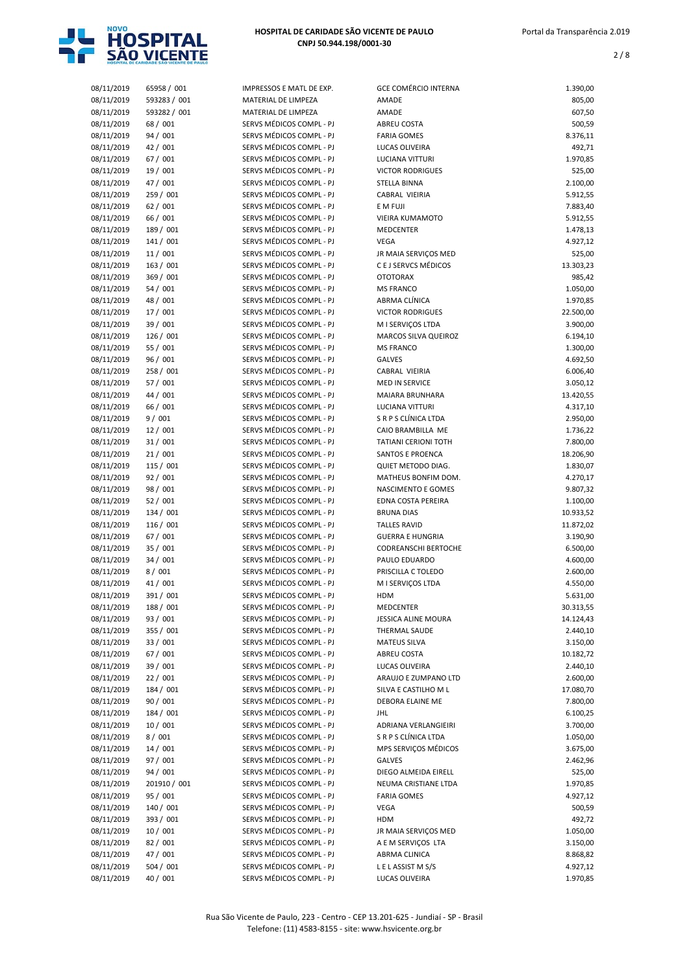

| 08/11/2019               | 65958 / 001          | IMPRESSOS E MATL DE EXP.                             | <b>GCE COMÉRCIO INTERNA</b>                     | 1.390,00             |
|--------------------------|----------------------|------------------------------------------------------|-------------------------------------------------|----------------------|
| 08/11/2019               | 593283 / 001         | MATERIAL DE LIMPEZA                                  | AMADE                                           | 805,00               |
| 08/11/2019               | 593282 / 001         | MATERIAL DE LIMPEZA                                  | AMADE                                           | 607,50               |
| 08/11/2019               | 68 / 001             | SERVS MÉDICOS COMPL - PJ                             | ABREU COSTA                                     | 500,59               |
| 08/11/2019               | 94 / 001             | SERVS MÉDICOS COMPL - PJ                             | <b>FARIA GOMES</b>                              | 8.376,11             |
| 08/11/2019               | 42 / 001             | SERVS MÉDICOS COMPL - PJ                             | LUCAS OLIVEIRA                                  | 492,71               |
| 08/11/2019               | 67 / 001             | SERVS MÉDICOS COMPL - PJ                             | LUCIANA VITTURI                                 | 1.970,85             |
| 08/11/2019               | 19 / 001             | SERVS MÉDICOS COMPL - PJ                             | <b>VICTOR RODRIGUES</b>                         | 525,00               |
| 08/11/2019               | 47 / 001             | SERVS MÉDICOS COMPL - PJ                             | STELLA BINNA                                    | 2.100,00             |
| 08/11/2019               | 259 / 001            | SERVS MÉDICOS COMPL - PJ                             | CABRAL VIEIRIA                                  | 5.912,55             |
| 08/11/2019               | 62 / 001             | SERVS MÉDICOS COMPL - PJ                             | E M FUJI                                        | 7.883,40             |
| 08/11/2019               | 66 / 001             | SERVS MÉDICOS COMPL - PJ                             | <b>VIEIRA KUMAMOTO</b>                          | 5.912,55             |
| 08/11/2019               | 189 / 001            | SERVS MÉDICOS COMPL - PJ                             | <b>MEDCENTER</b>                                | 1.478,13             |
| 08/11/2019               | 141 / 001            | SERVS MÉDICOS COMPL - PJ                             | <b>VEGA</b>                                     | 4.927,12             |
| 08/11/2019               | 11/001               | SERVS MÉDICOS COMPL - PJ                             | JR MAIA SERVIÇOS MED                            | 525,00               |
| 08/11/2019               | 163 / 001            | SERVS MÉDICOS COMPL - PJ                             | C E J SERVCS MÉDICOS                            | 13.303,23            |
| 08/11/2019               | 369 / 001            | SERVS MÉDICOS COMPL - PJ                             | <b>OTOTORAX</b>                                 | 985,42               |
| 08/11/2019               | 54/001               | SERVS MÉDICOS COMPL - PJ                             | <b>MS FRANCO</b>                                | 1.050,00             |
| 08/11/2019               | 48 / 001             | SERVS MÉDICOS COMPL - PJ                             | ABRMA CLÍNICA                                   | 1.970,85             |
| 08/11/2019               | 17/001               | SERVS MÉDICOS COMPL - PJ                             | <b>VICTOR RODRIGUES</b>                         | 22.500,00            |
| 08/11/2019               | 39 / 001             | SERVS MÉDICOS COMPL - PJ                             | M I SERVICOS LTDA                               | 3.900,00             |
| 08/11/2019               | 126 / 001            | SERVS MÉDICOS COMPL - PJ                             | MARCOS SILVA QUEIROZ                            | 6.194,10             |
| 08/11/2019               | 55 / 001             | SERVS MÉDICOS COMPL - PJ<br>SERVS MÉDICOS COMPL - PJ | <b>MS FRANCO</b>                                | 1.300,00             |
| 08/11/2019               | 96 / 001             |                                                      | <b>GALVES</b>                                   | 4.692,50             |
| 08/11/2019               | 258 / 001            | SERVS MÉDICOS COMPL - PJ<br>SERVS MÉDICOS COMPL - PJ | CABRAL VIEIRIA                                  | 6.006,40             |
| 08/11/2019               | 57 / 001<br>44 / 001 |                                                      | <b>MED IN SERVICE</b><br><b>MAIARA BRUNHARA</b> | 3.050,12             |
| 08/11/2019               |                      | SERVS MÉDICOS COMPL - PJ<br>SERVS MÉDICOS COMPL - PJ |                                                 | 13.420,55            |
| 08/11/2019               | 66 / 001<br>9/001    | SERVS MÉDICOS COMPL - PJ                             | LUCIANA VITTURI<br>S R P S CLÍNICA LTDA         | 4.317,10             |
| 08/11/2019<br>08/11/2019 | 12/001               | SERVS MÉDICOS COMPL - PJ                             | CAIO BRAMBILLA ME                               | 2.950,00<br>1.736,22 |
| 08/11/2019               | 31/001               | SERVS MÉDICOS COMPL - PJ                             | <b>TATIANI CERIONI TOTH</b>                     | 7.800,00             |
| 08/11/2019               | 21/001               | SERVS MÉDICOS COMPL - PJ                             | SANTOS E PROENCA                                | 18.206,90            |
| 08/11/2019               | 115 / 001            | SERVS MÉDICOS COMPL - PJ                             | QUIET METODO DIAG.                              | 1.830,07             |
| 08/11/2019               | 92/001               | SERVS MÉDICOS COMPL - PJ                             | MATHEUS BONFIM DOM.                             | 4.270,17             |
| 08/11/2019               | 98 / 001             | SERVS MÉDICOS COMPL - PJ                             | NASCIMENTO E GOMES                              | 9.807,32             |
| 08/11/2019               | 52/001               | SERVS MÉDICOS COMPL - PJ                             | EDNA COSTA PEREIRA                              | 1.100,00             |
| 08/11/2019               | 134 / 001            | SERVS MÉDICOS COMPL - PJ                             | <b>BRUNA DIAS</b>                               | 10.933,52            |
| 08/11/2019               | 116 / 001            | SERVS MÉDICOS COMPL - PJ                             | <b>TALLES RAVID</b>                             | 11.872,02            |
| 08/11/2019               | 67 / 001             | SERVS MÉDICOS COMPL - PJ                             | <b>GUERRA E HUNGRIA</b>                         | 3.190,90             |
| 08/11/2019               | 35 / 001             | SERVS MÉDICOS COMPL - PJ                             | <b>CODREANSCHI BERTOCHE</b>                     | 6.500,00             |
| 08/11/2019               | 34/001               | SERVS MÉDICOS COMPL - PJ                             | PAULO EDUARDO                                   | 4.600,00             |
| 08/11/2019               | 8/001                | SERVS MÉDICOS COMPL - PJ                             | PRISCILLA C TOLEDO                              | 2.600,00             |
| 08/11/2019               | 41 / 001             | SERVS MÉDICOS COMPL - PJ                             | M I SERVIÇOS LTDA                               | 4.550,00             |
| 08/11/2019               | 391 / 001            | SERVS MÉDICOS COMPL - PJ                             | HDM                                             | 5.631,00             |
| 08/11/2019               | 188 / 001            | SERVS MÉDICOS COMPL - PJ                             | MEDCENTER                                       | 30.313,55            |
| 08/11/2019               | 93 / 001             | SERVS MÉDICOS COMPL - PJ                             | JESSICA ALINE MOURA                             | 14.124,43            |
| 08/11/2019               | 355 / 001            | SERVS MÉDICOS COMPL - PJ                             | THERMAL SAUDE                                   | 2.440,10             |
| 08/11/2019               | 33 / 001             | SERVS MÉDICOS COMPL - PJ                             | <b>MATEUS SILVA</b>                             | 3.150,00             |
| 08/11/2019               | 67 / 001             | SERVS MÉDICOS COMPL - PJ                             | ABREU COSTA                                     | 10.182,72            |
| 08/11/2019               | 39 / 001             | SERVS MÉDICOS COMPL - PJ                             | LUCAS OLIVEIRA                                  | 2.440,10             |
| 08/11/2019               | 22/001               | SERVS MÉDICOS COMPL - PJ                             | ARAUJO E ZUMPANO LTD                            | 2.600,00             |
| 08/11/2019               | 184 / 001            | SERVS MÉDICOS COMPL - PJ                             | SILVA E CASTILHO M L                            | 17.080,70            |
| 08/11/2019               | 90 / 001             | SERVS MÉDICOS COMPL - PJ                             | DEBORA ELAINE ME                                | 7.800,00             |
| 08/11/2019               | 184 / 001            | SERVS MÉDICOS COMPL - PJ                             | <b>JHL</b>                                      | 6.100,25             |
| 08/11/2019               | 10/001               | SERVS MÉDICOS COMPL - PJ                             | ADRIANA VERLANGIEIRI                            | 3.700,00             |
| 08/11/2019               | 8/001                | SERVS MÉDICOS COMPL - PJ                             | S R P S CLÍNICA LTDA                            | 1.050,00             |
| 08/11/2019               | 14 / 001             | SERVS MÉDICOS COMPL - PJ                             | MPS SERVIÇOS MÉDICOS                            | 3.675,00             |
| 08/11/2019               | 97 / 001             | SERVS MÉDICOS COMPL - PJ                             | GALVES                                          | 2.462,96             |
| 08/11/2019               | 94 / 001             | SERVS MÉDICOS COMPL - PJ                             | DIEGO ALMEIDA EIRELL                            | 525,00               |
| 08/11/2019               | 201910 / 001         | SERVS MÉDICOS COMPL - PJ                             | NEUMA CRISTIANE LTDA                            | 1.970,85             |
| 08/11/2019               | 95 / 001             | SERVS MÉDICOS COMPL - PJ                             | <b>FARIA GOMES</b>                              | 4.927,12             |
| 08/11/2019               | 140 / 001            | SERVS MÉDICOS COMPL - PJ                             | VEGA                                            | 500,59               |
| 08/11/2019               | 393 / 001            | SERVS MÉDICOS COMPL - PJ                             | HDM                                             | 492,72               |
| 08/11/2019               | 10/001               | SERVS MÉDICOS COMPL - PJ                             | JR MAIA SERVIÇOS MED                            | 1.050,00             |
| 08/11/2019               | 82 / 001             | SERVS MÉDICOS COMPL - PJ                             | A E M SERVIÇOS LTA                              | 3.150,00             |
| 08/11/2019               | 47 / 001             | SERVS MÉDICOS COMPL - PJ                             | ABRMA CLINICA                                   | 8.868,82             |
| 08/11/2019               | 504 / 001            | SERVS MÉDICOS COMPL - PJ                             | LELASSIST MS/S                                  | 4.927,12             |
| 08/11/2019               | 40 / 001             | SERVS MÉDICOS COMPL - PJ                             | LUCAS OLIVEIRA                                  | 1.970,85             |
|                          |                      |                                                      |                                                 |                      |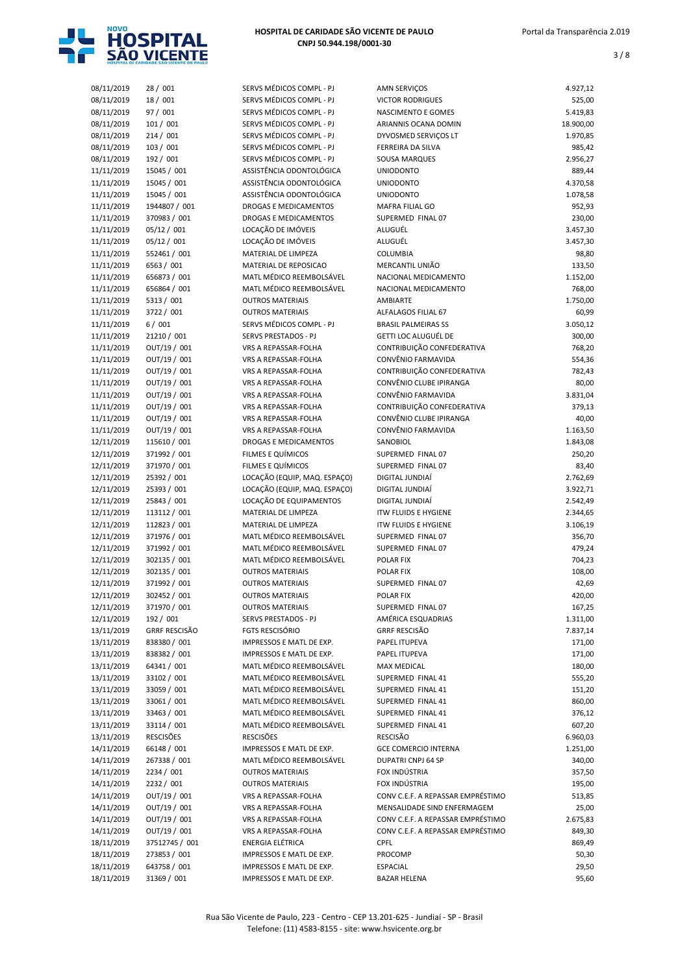

| 08/11/2019 | 28 / 001             | SERVS MÉDICOS COMPL - PJ     | AMN SERVIÇOS                      | 4.927,12  |
|------------|----------------------|------------------------------|-----------------------------------|-----------|
| 08/11/2019 | 18 / 001             | SERVS MÉDICOS COMPL - PJ     | <b>VICTOR RODRIGUES</b>           | 525,00    |
| 08/11/2019 | 97 / 001             | SERVS MÉDICOS COMPL - PJ     | NASCIMENTO E GOMES                | 5.419,83  |
|            | 101 / 001            | SERVS MÉDICOS COMPL - PJ     | ARIANNIS OCANA DOMIN              | 18.900,00 |
| 08/11/2019 |                      | SERVS MÉDICOS COMPL - PJ     |                                   |           |
| 08/11/2019 | 214 / 001            |                              | DYVOSMED SERVIÇOS LT              | 1.970,85  |
| 08/11/2019 | 103 / 001            | SERVS MÉDICOS COMPL - PJ     | FERREIRA DA SILVA                 | 985,42    |
| 08/11/2019 | 192 / 001            | SERVS MÉDICOS COMPL - PJ     | SOUSA MARQUES                     | 2.956,27  |
| 11/11/2019 | 15045 / 001          | ASSISTÊNCIA ODONTOLÓGICA     | <b>UNIODONTO</b>                  | 889,44    |
| 11/11/2019 | 15045 / 001          | ASSISTÊNCIA ODONTOLÓGICA     | <b>UNIODONTO</b>                  | 4.370,58  |
| 11/11/2019 | 15045 / 001          | ASSISTÊNCIA ODONTOLÓGICA     | <b>UNIODONTO</b>                  | 1.078,58  |
| 11/11/2019 | 1944807 / 001        | <b>DROGAS E MEDICAMENTOS</b> | MAFRA FILIAL GO                   | 952,93    |
| 11/11/2019 | 370983 / 001         | <b>DROGAS E MEDICAMENTOS</b> | SUPERMED FINAL 07                 | 230,00    |
| 11/11/2019 | 05/12 / 001          | LOCAÇÃO DE IMÓVEIS           | ALUGUÉL                           | 3.457,30  |
| 11/11/2019 | 05/12 / 001          | LOCAÇÃO DE IMÓVEIS           | ALUGUÉL                           | 3.457,30  |
| 11/11/2019 | 552461 / 001         | MATERIAL DE LIMPEZA          | <b>COLUMBIA</b>                   | 98,80     |
| 11/11/2019 | 6563 / 001           | MATERIAL DE REPOSICAO        | MERCANTIL UNIÃO                   | 133,50    |
| 11/11/2019 | 656873 / 001         | MATL MÉDICO REEMBOLSÁVEL     | NACIONAL MEDICAMENTO              | 1.152,00  |
| 11/11/2019 | 656864 / 001         | MATL MÉDICO REEMBOLSÁVEL     | NACIONAL MEDICAMENTO              | 768,00    |
| 11/11/2019 | 5313 / 001           | <b>OUTROS MATERIAIS</b>      | AMBIARTE                          | 1.750,00  |
|            |                      |                              |                                   |           |
| 11/11/2019 | 3722 / 001           | <b>OUTROS MATERIAIS</b>      | ALFALAGOS FILIAL 67               | 60,99     |
| 11/11/2019 | 6/001                | SERVS MÉDICOS COMPL - PJ     | <b>BRASIL PALMEIRAS SS</b>        | 3.050,12  |
| 11/11/2019 | 21210 / 001          | SERVS PRESTADOS - PJ         | GETTI LOC ALUGUÉL DE              | 300,00    |
| 11/11/2019 | OUT/19 / 001         | VRS A REPASSAR-FOLHA         | CONTRIBUIÇÃO CONFEDERATIVA        | 768,20    |
| 11/11/2019 | OUT/19 / 001         | VRS A REPASSAR-FOLHA         | CONVÊNIO FARMAVIDA                | 554,36    |
| 11/11/2019 | OUT/19 / 001         | VRS A REPASSAR-FOLHA         | CONTRIBUIÇÃO CONFEDERATIVA        | 782,43    |
| 11/11/2019 | OUT/19 / 001         | VRS A REPASSAR-FOLHA         | CONVÊNIO CLUBE IPIRANGA           | 80,00     |
| 11/11/2019 | OUT/19 / 001         | VRS A REPASSAR-FOLHA         | CONVÊNIO FARMAVIDA                | 3.831,04  |
| 11/11/2019 | OUT/19 / 001         | VRS A REPASSAR-FOLHA         | CONTRIBUIÇÃO CONFEDERATIVA        | 379,13    |
| 11/11/2019 | OUT/19 / 001         | VRS A REPASSAR-FOLHA         | CONVÊNIO CLUBE IPIRANGA           | 40,00     |
| 11/11/2019 | OUT/19 / 001         | VRS A REPASSAR-FOLHA         | CONVÊNIO FARMAVIDA                | 1.163,50  |
|            |                      |                              |                                   |           |
| 12/11/2019 | 115610 / 001         | DROGAS E MEDICAMENTOS        | SANOBIOL                          | 1.843,08  |
| 12/11/2019 | 371992 / 001         | FILMES E QUÍMICOS            | SUPERMED FINAL 07                 | 250,20    |
| 12/11/2019 | 371970 / 001         | FILMES E QUÍMICOS            | SUPERMED FINAL 07                 | 83,40     |
| 12/11/2019 | 25392 / 001          | LOCAÇÃO (EQUIP, MAQ. ESPAÇO) | DIGITAL JUNDIAÍ                   | 2.762,69  |
| 12/11/2019 | 25393 / 001          | LOCAÇÃO (EQUIP, MAQ. ESPAÇO) | DIGITAL JUNDIAÍ                   | 3.922,71  |
| 12/11/2019 | 25843 / 001          | LOCAÇÃO DE EQUIPAMENTOS      | DIGITAL JUNDIAÍ                   | 2.542,49  |
| 12/11/2019 | 113112 / 001         | MATERIAL DE LIMPEZA          | <b>ITW FLUIDS E HYGIENE</b>       | 2.344,65  |
| 12/11/2019 | 112823 / 001         | MATERIAL DE LIMPEZA          | <b>ITW FLUIDS E HYGIENE</b>       | 3.106,19  |
| 12/11/2019 | 371976 / 001         | MATL MÉDICO REEMBOLSÁVEL     | SUPERMED FINAL 07                 | 356,70    |
| 12/11/2019 | 371992 / 001         | MATL MÉDICO REEMBOLSÁVEL     | SUPERMED FINAL 07                 | 479,24    |
| 12/11/2019 | 302135 / 001         | MATL MÉDICO REEMBOLSÁVEL     | POLAR FIX                         | 704,23    |
| 12/11/2019 | 302135 / 001         | <b>OUTROS MATERIAIS</b>      | POLAR FIX                         | 108,00    |
| 12/11/2019 | 371992 / 001         | <b>OUTROS MATERIAIS</b>      | SUPERMED FINAL 07                 | 42,69     |
| 12/11/2019 | 302452 / 001         | <b>OUTROS MATERIAIS</b>      | POLAR FIX                         | 420,00    |
|            | 371970 / 001         | <b>OUTROS MATERIAIS</b>      | SUPERMED FINAL 07                 |           |
| 12/11/2019 |                      |                              |                                   | 167,25    |
| 12/11/2019 | 192 / 001            | SERVS PRESTADOS - PJ         | AMÉRICA ESQUADRIAS                | 1.311,00  |
| 13/11/2019 | <b>GRRF RESCISÃO</b> | FGTS RESCISÓRIO              | <b>GRRF RESCISÃO</b>              | 7.837,14  |
| 13/11/2019 | 838380 / 001         | IMPRESSOS E MATL DE EXP.     | PAPEL ITUPEVA                     | 171,00    |
| 13/11/2019 | 838382 / 001         | IMPRESSOS E MATL DE EXP.     | PAPEL ITUPEVA                     | 171,00    |
| 13/11/2019 | 64341 / 001          | MATL MÉDICO REEMBOLSÁVEL     | MAX MEDICAL                       | 180,00    |
| 13/11/2019 | 33102 / 001          | MATL MÉDICO REEMBOLSÁVEL     | SUPERMED FINAL 41                 | 555,20    |
| 13/11/2019 | 33059 / 001          | MATL MÉDICO REEMBOLSÁVEL     | SUPERMED FINAL 41                 | 151,20    |
| 13/11/2019 | 33061 / 001          | MATL MÉDICO REEMBOLSÁVEL     | SUPERMED FINAL 41                 | 860,00    |
| 13/11/2019 | 33463 / 001          | MATL MÉDICO REEMBOLSÁVEL     | SUPERMED FINAL 41                 | 376,12    |
| 13/11/2019 | 33114 / 001          | MATL MÉDICO REEMBOLSÁVEL     | SUPERMED FINAL 41                 | 607,20    |
| 13/11/2019 | <b>RESCISÕES</b>     | <b>RESCISÕES</b>             | <b>RESCISÃO</b>                   | 6.960,03  |
| 14/11/2019 | 66148 / 001          | IMPRESSOS E MATL DE EXP.     | <b>GCE COMERCIO INTERNA</b>       | 1.251,00  |
| 14/11/2019 | 267338 / 001         | MATL MÉDICO REEMBOLSÁVEL     | <b>DUPATRI CNPJ 64 SP</b>         | 340,00    |
|            | 2234 / 001           | <b>OUTROS MATERIAIS</b>      | FOX INDÚSTRIA                     |           |
| 14/11/2019 |                      |                              |                                   | 357,50    |
| 14/11/2019 | 2232 / 001           | <b>OUTROS MATERIAIS</b>      | FOX INDÚSTRIA                     | 195,00    |
| 14/11/2019 | OUT/19 / 001         | VRS A REPASSAR-FOLHA         | CONV C.E.F. A REPASSAR EMPRÉSTIMO | 513,85    |
| 14/11/2019 | OUT/19 / 001         | VRS A REPASSAR-FOLHA         | MENSALIDADE SIND ENFERMAGEM       | 25,00     |
| 14/11/2019 | OUT/19 / 001         | VRS A REPASSAR-FOLHA         | CONV C.E.F. A REPASSAR EMPRÉSTIMO | 2.675,83  |
| 14/11/2019 | OUT/19 / 001         | VRS A REPASSAR-FOLHA         | CONV C.E.F. A REPASSAR EMPRÉSTIMO | 849,30    |
| 18/11/2019 | 37512745 / 001       | ENERGIA ELÉTRICA             | <b>CPFL</b>                       | 869,49    |
| 18/11/2019 | 273853 / 001         | IMPRESSOS E MATL DE EXP.     | PROCOMP                           | 50,30     |
| 18/11/2019 | 643758 / 001         | IMPRESSOS E MATL DE EXP.     | ESPACIAL                          | 29,50     |
| 18/11/2019 | 31369 / 001          | IMPRESSOS E MATL DE EXP.     | <b>BAZAR HELENA</b>               | 95,60     |
|            |                      |                              |                                   |           |

| <b>AMN SERVIÇOS</b>               | 4.927,12  |
|-----------------------------------|-----------|
| <b>VICTOR RODRIGUES</b>           | 525,00    |
| <b>NASCIMENTO E GOMES</b>         | 5.419,83  |
| ARIANNIS OCANA DOMIN              | 18.900,00 |
| DYVOSMED SERVIÇOS LT              | 1.970,85  |
| FERREIRA DA SILVA                 | 985,42    |
| <b>SOUSA MARQUES</b>              | 2.956,27  |
| <b>UNIODONTO</b>                  | 889,44    |
| <b>UNIODONTO</b>                  | 4.370,58  |
| <b>UNIODONTO</b>                  | 1.078,58  |
| <b>MAFRA FILIAL GO</b>            | 952,93    |
| SUPERMED FINAL 07                 | 230,00    |
| ALUGUÉL                           | 3.457,30  |
| ALUGUÉL                           | 3.457,30  |
| <b>COLUMBIA</b>                   | 98,80     |
| MERCANTIL UNIÃO                   | 133,50    |
| NACIONAL MEDICAMENTO              | 1.152,00  |
| NACIONAL MEDICAMENTO              | 768,00    |
| <b>AMBIARTE</b>                   | 1.750,00  |
| <b>ALFALAGOS FILIAL 67</b>        | 60,99     |
| <b>BRASIL PALMEIRAS SS</b>        | 3.050,12  |
| GETTI LOC ALUGUÉL DE              | 300,00    |
| CONTRIBUIÇÃO CONFEDERATIVA        | 768,20    |
| CONVÊNIO FARMAVIDA                | 554,36    |
| CONTRIBUICÃO CONFEDERATIVA        | 782,43    |
| CONVÊNIO CLUBE IPIRANGA           | 80,00     |
| CONVÊNIO FARMAVIDA                | 3.831,04  |
| CONTRIBUIÇÃO CONFEDERATIVA        | 379,13    |
| CONVÊNIO CLUBE IPIRANGA           | 40,00     |
| CONVÊNIO FARMAVIDA                | 1.163,50  |
| SANOBIOL                          | 1.843,08  |
| SUPERMED FINAL 07                 | 250,20    |
| SUPERMED FINAL 07                 | 83,40     |
| DIGITAL JUNDIAÍ                   | 2.762,69  |
| DIGITAL JUNDIAÍ                   | 3.922,71  |
| DIGITAL JUNDIAÍ                   | 2.542,49  |
| <b>ITW FLUIDS E HYGIENE</b>       | 2.344,65  |
| <b>ITW FLUIDS E HYGIENE</b>       | 3.106,19  |
| SUPERMED FINAL 07                 | 356,70    |
| SUPERMED FINAL 07                 | 479,24    |
| POLAR FIX                         | 704,23    |
| <b>POLAR FIX</b>                  | 108,00    |
| SUPERMED FINAL 07                 | 42,69     |
| <b>POLAR FIX</b>                  | 420,00    |
| SUPERMED FINAL 07                 | 167,25    |
| AMÉRICA ESQUADRIAS                | 1.311,00  |
| <b>GRRF RESCISÃO</b>              | 7.837,14  |
| PAPEL ITUPEVA                     | 171,00    |
| PAPEL ITUPEVA                     | 171,00    |
| <b>MAX MEDICAL</b>                | 180,00    |
| SUPERMED FINAL 41                 | 555,20    |
| SUPERMED FINAL 41                 | 151,20    |
| SUPERMED FINAL 41                 | 860,00    |
| SUPERMED FINAL 41                 | 376,12    |
| SUPERMED FINAL 41                 | 607,20    |
| RESCISÃO                          | 6.960,03  |
| <b>GCE COMERCIO INTERNA</b>       | 1.251,00  |
| <b>DUPATRI CNPJ 64 SP</b>         | 340,00    |
| FOX INDÚSTRIA                     | 357,50    |
| FOX INDÚSTRIA                     | 195,00    |
| CONV C.E.F. A REPASSAR EMPRÉSTIMO | 513,85    |
| MENSALIDADE SIND ENFERMAGEM       | 25,00     |
| CONV C.E.F. A REPASSAR EMPRÉSTIMO | 2.675,83  |
| CONV C.E.F. A REPASSAR EMPRÉSTIMO | 849,30    |
| <b>CPFL</b>                       | 869,49    |
| PROCOMP                           | 50,30     |
| <b>ESPACIAL</b>                   | 29,50     |
| <b>BAZAR HELENA</b>               | 95.60     |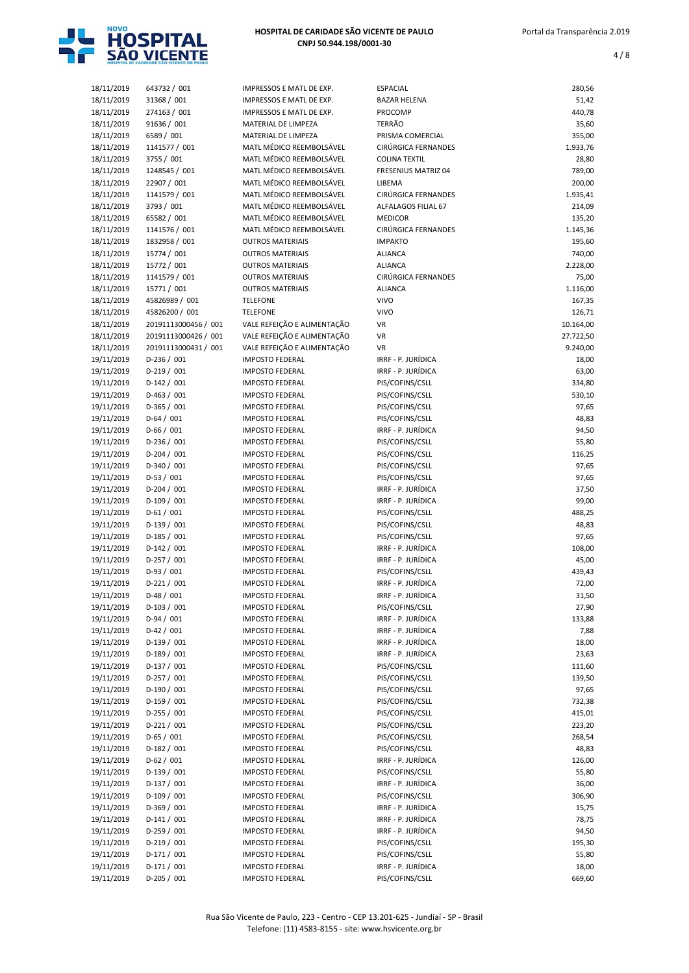

| 18/11/2019 | 643732 / 001         | IMPRESSOS E MATL DE EXP.    | <b>ESPACIAL</b>      | 280,56    |
|------------|----------------------|-----------------------------|----------------------|-----------|
| 18/11/2019 | 31368 / 001          | IMPRESSOS E MATL DE EXP.    | <b>BAZAR HELENA</b>  | 51,42     |
| 18/11/2019 | 274163 / 001         | IMPRESSOS E MATL DE EXP.    | PROCOMP              | 440,78    |
| 18/11/2019 | 91636 / 001          | MATERIAL DE LIMPEZA         | TERRÃO               | 35,60     |
| 18/11/2019 | 6589 / 001           | MATERIAL DE LIMPEZA         | PRISMA COMERCIAL     | 355,00    |
| 18/11/2019 | 1141577 / 001        | MATL MÉDICO REEMBOLSÁVEL    | CIRÚRGICA FERNANDES  | 1.933,76  |
| 18/11/2019 | 3755 / 001           | MATL MÉDICO REEMBOLSÁVEL    | <b>COLINA TEXTIL</b> | 28,80     |
| 18/11/2019 | 1248545 / 001        | MATL MÉDICO REEMBOLSÁVEL    | FRESENIUS MATRIZ 04  | 789,00    |
| 18/11/2019 | 22907 / 001          | MATL MÉDICO REEMBOLSÁVEL    | LIBEMA               | 200,00    |
| 18/11/2019 | 1141579 / 001        | MATL MÉDICO REEMBOLSÁVEL    | CIRÚRGICA FERNANDES  | 1.935,41  |
| 18/11/2019 | 3793 / 001           | MATL MÉDICO REEMBOLSÁVEL    | ALFALAGOS FILIAL 67  | 214,09    |
| 18/11/2019 | 65582 / 001          | MATL MÉDICO REEMBOLSÁVEL    | <b>MEDICOR</b>       | 135,20    |
| 18/11/2019 | 1141576 / 001        | MATL MÉDICO REEMBOLSÁVEL    | CIRÚRGICA FERNANDES  | 1.145,36  |
| 18/11/2019 | 1832958 / 001        | <b>OUTROS MATERIAIS</b>     | <b>IMPAKTO</b>       | 195,60    |
| 18/11/2019 | 15774 / 001          | <b>OUTROS MATERIAIS</b>     | <b>ALIANCA</b>       | 740,00    |
| 18/11/2019 | 15772 / 001          | <b>OUTROS MATERIAIS</b>     | <b>ALIANCA</b>       | 2.228,00  |
| 18/11/2019 | 1141579 / 001        | <b>OUTROS MATERIAIS</b>     | CIRÚRGICA FERNANDES  | 75,00     |
|            | 15771 / 001          | <b>OUTROS MATERIAIS</b>     | <b>ALIANCA</b>       |           |
| 18/11/2019 |                      |                             | <b>VIVO</b>          | 1.116,00  |
| 18/11/2019 | 45826989 / 001       | <b>TELEFONE</b>             |                      | 167,35    |
| 18/11/2019 | 45826200 / 001       | <b>TELEFONE</b>             | <b>VIVO</b>          | 126,71    |
| 18/11/2019 | 20191113000456 / 001 | VALE REFEIÇÃO E ALIMENTAÇÃO | <b>VR</b>            | 10.164,00 |
| 18/11/2019 | 20191113000426 / 001 | VALE REFEIÇÃO E ALIMENTAÇÃO | <b>VR</b>            | 27.722,50 |
| 18/11/2019 | 20191113000431 / 001 | VALE REFEIÇÃO E ALIMENTAÇÃO | <b>VR</b>            | 9.240,00  |
| 19/11/2019 | $D-236 / 001$        | <b>IMPOSTO FEDERAL</b>      | IRRF - P. JURÍDICA   | 18,00     |
| 19/11/2019 | $D-219/001$          | <b>IMPOSTO FEDERAL</b>      | IRRF - P. JURÍDICA   | 63,00     |
| 19/11/2019 | $D-142 / 001$        | <b>IMPOSTO FEDERAL</b>      | PIS/COFINS/CSLL      | 334,80    |
| 19/11/2019 | $D-463 / 001$        | <b>IMPOSTO FEDERAL</b>      | PIS/COFINS/CSLL      | 530,10    |
| 19/11/2019 | $D-365/001$          | <b>IMPOSTO FEDERAL</b>      | PIS/COFINS/CSLL      | 97,65     |
| 19/11/2019 | $D-64/001$           | <b>IMPOSTO FEDERAL</b>      | PIS/COFINS/CSLL      | 48,83     |
| 19/11/2019 | $D-66/001$           | <b>IMPOSTO FEDERAL</b>      | IRRF - P. JURÍDICA   | 94,50     |
| 19/11/2019 | $D-236 / 001$        | <b>IMPOSTO FEDERAL</b>      | PIS/COFINS/CSLL      | 55,80     |
| 19/11/2019 | $D-204/001$          | <b>IMPOSTO FEDERAL</b>      | PIS/COFINS/CSLL      | 116,25    |
| 19/11/2019 | D-340 / 001          | <b>IMPOSTO FEDERAL</b>      | PIS/COFINS/CSLL      | 97,65     |
| 19/11/2019 | $D-53/001$           | <b>IMPOSTO FEDERAL</b>      | PIS/COFINS/CSLL      | 97,65     |
| 19/11/2019 | $D-204/001$          | <b>IMPOSTO FEDERAL</b>      | IRRF - P. JURÍDICA   | 37,50     |
| 19/11/2019 | $D-109/001$          | <b>IMPOSTO FEDERAL</b>      | IRRF - P. JURÍDICA   | 99,00     |
| 19/11/2019 | $D-61/001$           | <b>IMPOSTO FEDERAL</b>      | PIS/COFINS/CSLL      | 488,25    |
| 19/11/2019 | $D-139/001$          | <b>IMPOSTO FEDERAL</b>      | PIS/COFINS/CSLL      | 48,83     |
| 19/11/2019 | $D-185/001$          | <b>IMPOSTO FEDERAL</b>      | PIS/COFINS/CSLL      | 97,65     |
| 19/11/2019 | $D-142 / 001$        | <b>IMPOSTO FEDERAL</b>      | IRRF - P. JURÍDICA   | 108,00    |
| 19/11/2019 | $D-257/001$          | <b>IMPOSTO FEDERAL</b>      | IRRF - P. JURÍDICA   | 45,00     |
| 19/11/2019 | $D-93/001$           | <b>IMPOSTO FEDERAL</b>      | PIS/COFINS/CSLL      | 439,43    |
| 19/11/2019 | $D-221/001$          | <b>IMPOSTO FEDERAL</b>      | IRRF - P. JURÍDICA   | 72,00     |
|            |                      |                             |                      |           |
| 19/11/2019 | D-48 / 001           | <b>IMPOSTO FEDERAL</b>      | IRRF - P. JURÍDICA   | 31,50     |
| 19/11/2019 | $D-103 / 001$        | <b>IMPOSTO FEDERAL</b>      | PIS/COFINS/CSLL      | 27,90     |
| 19/11/2019 | $D-94/001$           | <b>IMPOSTO FEDERAL</b>      | IRRF - P. JURÍDICA   | 133,88    |
| 19/11/2019 | $D-42 / 001$         | <b>IMPOSTO FEDERAL</b>      | IRRF - P. JURÍDICA   | 7,88      |
| 19/11/2019 | $D-139/001$          | <b>IMPOSTO FEDERAL</b>      | IRRF - P. JURÍDICA   | 18,00     |
| 19/11/2019 | $D-189/001$          | <b>IMPOSTO FEDERAL</b>      | IRRF - P. JURÍDICA   | 23,63     |
| 19/11/2019 | $D-137/001$          | <b>IMPOSTO FEDERAL</b>      | PIS/COFINS/CSLL      | 111,60    |
| 19/11/2019 | $D-257/001$          | <b>IMPOSTO FEDERAL</b>      | PIS/COFINS/CSLL      | 139,50    |
| 19/11/2019 | $D-190/001$          | <b>IMPOSTO FEDERAL</b>      | PIS/COFINS/CSLL      | 97,65     |
| 19/11/2019 | $D-159/001$          | <b>IMPOSTO FEDERAL</b>      | PIS/COFINS/CSLL      | 732,38    |
| 19/11/2019 | $D-255 / 001$        | <b>IMPOSTO FEDERAL</b>      | PIS/COFINS/CSLL      | 415,01    |
| 19/11/2019 | $D-221/001$          | <b>IMPOSTO FEDERAL</b>      | PIS/COFINS/CSLL      | 223,20    |
| 19/11/2019 | $D-65/001$           | <b>IMPOSTO FEDERAL</b>      | PIS/COFINS/CSLL      | 268,54    |
| 19/11/2019 | $D-182 / 001$        | <b>IMPOSTO FEDERAL</b>      | PIS/COFINS/CSLL      | 48,83     |
| 19/11/2019 | $D-62/001$           | <b>IMPOSTO FEDERAL</b>      | IRRF - P. JURÍDICA   | 126,00    |
| 19/11/2019 | $D-139/001$          | <b>IMPOSTO FEDERAL</b>      | PIS/COFINS/CSLL      | 55,80     |
| 19/11/2019 | $D-137/001$          | <b>IMPOSTO FEDERAL</b>      | IRRF - P. JURÍDICA   | 36,00     |
| 19/11/2019 | $D-109/001$          | <b>IMPOSTO FEDERAL</b>      | PIS/COFINS/CSLL      | 306,90    |
| 19/11/2019 | $D-369/001$          | <b>IMPOSTO FEDERAL</b>      | IRRF - P. JURÍDICA   | 15,75     |
| 19/11/2019 | $D-141/001$          | <b>IMPOSTO FEDERAL</b>      | IRRF - P. JURÍDICA   | 78,75     |
| 19/11/2019 | $D-259/001$          | <b>IMPOSTO FEDERAL</b>      | IRRF - P. JURÍDICA   | 94,50     |
| 19/11/2019 | $D-219/001$          | <b>IMPOSTO FEDERAL</b>      | PIS/COFINS/CSLL      | 195,30    |
| 19/11/2019 | $D-171/001$          | <b>IMPOSTO FEDERAL</b>      | PIS/COFINS/CSLL      | 55,80     |
|            |                      |                             |                      |           |
| 19/11/2019 | $D-171/001$          | <b>IMPOSTO FEDERAL</b>      | IRRF - P. JURÍDICA   | 18,00     |
| 19/11/2019 | $D-205/001$          | <b>IMPOSTO FEDERAL</b>      | PIS/COFINS/CSLL      | 669,60    |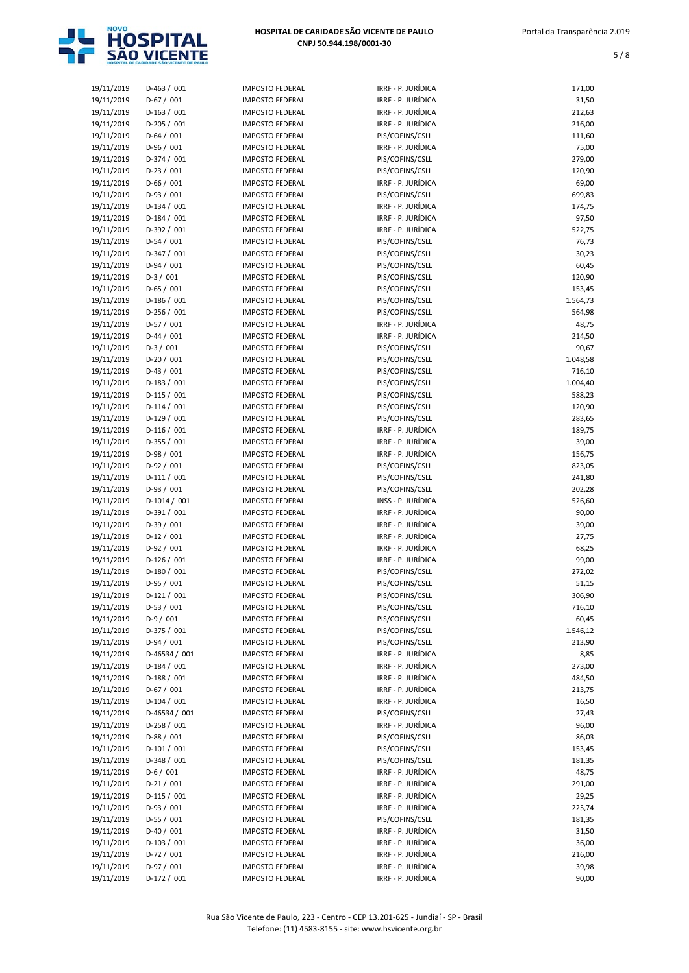

| 19/11/2019 | $D-463 / 001$ | <b>IMPOSTO FEDERAL</b> | IRRF - P. JURÍDICA | 171,00   |
|------------|---------------|------------------------|--------------------|----------|
| 19/11/2019 | $D-67/001$    | <b>IMPOSTO FEDERAL</b> | IRRF - P. JURÍDICA | 31,50    |
| 19/11/2019 | $D-163/001$   | <b>IMPOSTO FEDERAL</b> | IRRF - P. JURÍDICA | 212,63   |
| 19/11/2019 | $D-205/001$   | <b>IMPOSTO FEDERAL</b> | IRRF - P. JURÍDICA | 216,00   |
| 19/11/2019 | $D-64/001$    | <b>IMPOSTO FEDERAL</b> | PIS/COFINS/CSLL    | 111,60   |
| 19/11/2019 | $D-96/001$    | <b>IMPOSTO FEDERAL</b> | IRRF - P. JURÍDICA | 75,00    |
| 19/11/2019 | D-374 / 001   | <b>IMPOSTO FEDERAL</b> | PIS/COFINS/CSLL    | 279,00   |
| 19/11/2019 | $D-23/001$    | <b>IMPOSTO FEDERAL</b> | PIS/COFINS/CSLL    | 120,90   |
| 19/11/2019 | $D-66/001$    | <b>IMPOSTO FEDERAL</b> | IRRF - P. JURÍDICA | 69,00    |
| 19/11/2019 | $D-93/001$    | <b>IMPOSTO FEDERAL</b> | PIS/COFINS/CSLL    | 699,83   |
| 19/11/2019 | $D-134 / 001$ | <b>IMPOSTO FEDERAL</b> | IRRF - P. JURÍDICA | 174,75   |
| 19/11/2019 | $D-184/001$   | <b>IMPOSTO FEDERAL</b> | IRRF - P. JURÍDICA | 97,50    |
| 19/11/2019 | D-392 / 001   | <b>IMPOSTO FEDERAL</b> | IRRF - P. JURÍDICA | 522,75   |
| 19/11/2019 | $D-54/001$    | <b>IMPOSTO FEDERAL</b> | PIS/COFINS/CSLL    | 76,73    |
| 19/11/2019 | $D-347/001$   | <b>IMPOSTO FEDERAL</b> | PIS/COFINS/CSLL    | 30,23    |
| 19/11/2019 | $D-94/001$    | <b>IMPOSTO FEDERAL</b> | PIS/COFINS/CSLL    | 60,45    |
| 19/11/2019 | $D-3/001$     | <b>IMPOSTO FEDERAL</b> | PIS/COFINS/CSLL    | 120,90   |
| 19/11/2019 | $D-65/001$    | <b>IMPOSTO FEDERAL</b> | PIS/COFINS/CSLL    | 153,45   |
| 19/11/2019 | $D-186 / 001$ | <b>IMPOSTO FEDERAL</b> | PIS/COFINS/CSLL    | 1.564,73 |
| 19/11/2019 | $D-256 / 001$ | <b>IMPOSTO FEDERAL</b> | PIS/COFINS/CSLL    | 564,98   |
| 19/11/2019 | $D-57/001$    | <b>IMPOSTO FEDERAL</b> | IRRF - P. JURÍDICA | 48,75    |
| 19/11/2019 | $D-44 / 001$  | <b>IMPOSTO FEDERAL</b> | IRRF - P. JURÍDICA | 214,50   |
| 19/11/2019 | $D-3/001$     | <b>IMPOSTO FEDERAL</b> | PIS/COFINS/CSLL    | 90,67    |
| 19/11/2019 | $D-20/001$    | <b>IMPOSTO FEDERAL</b> | PIS/COFINS/CSLL    | 1.048,58 |
| 19/11/2019 | $D-43/001$    | <b>IMPOSTO FEDERAL</b> | PIS/COFINS/CSLL    | 716,10   |
| 19/11/2019 | $D-183 / 001$ | <b>IMPOSTO FEDERAL</b> | PIS/COFINS/CSLL    | 1.004,40 |
| 19/11/2019 | $D-115/001$   | <b>IMPOSTO FEDERAL</b> | PIS/COFINS/CSLL    | 588,23   |
| 19/11/2019 | $D-114/001$   | <b>IMPOSTO FEDERAL</b> | PIS/COFINS/CSLL    | 120,90   |
| 19/11/2019 | $D-129/001$   | <b>IMPOSTO FEDERAL</b> | PIS/COFINS/CSLL    | 283,65   |
|            | $D-116/001$   |                        | IRRF - P. JURÍDICA |          |
| 19/11/2019 |               | <b>IMPOSTO FEDERAL</b> |                    | 189,75   |
| 19/11/2019 | $D-355 / 001$ | <b>IMPOSTO FEDERAL</b> | IRRF - P. JURÍDICA | 39,00    |
| 19/11/2019 | $D-98/001$    | <b>IMPOSTO FEDERAL</b> | IRRF - P. JURÍDICA | 156,75   |
| 19/11/2019 | $D-92/001$    | <b>IMPOSTO FEDERAL</b> | PIS/COFINS/CSLL    | 823,05   |
| 19/11/2019 | $D-111/001$   | <b>IMPOSTO FEDERAL</b> | PIS/COFINS/CSLL    | 241,80   |
| 19/11/2019 | $D-93/001$    | <b>IMPOSTO FEDERAL</b> | PIS/COFINS/CSLL    | 202,28   |
| 19/11/2019 | $D-1014/001$  | <b>IMPOSTO FEDERAL</b> | INSS - P. JURÍDICA | 526,60   |
| 19/11/2019 | $D-391/001$   | <b>IMPOSTO FEDERAL</b> | IRRF - P. JURÍDICA | 90,00    |
| 19/11/2019 | $D-39/001$    | <b>IMPOSTO FEDERAL</b> | IRRF - P. JURÍDICA | 39,00    |
| 19/11/2019 | $D-12/001$    | <b>IMPOSTO FEDERAL</b> | IRRF - P. JURÍDICA | 27,75    |
| 19/11/2019 | $D-92/001$    | <b>IMPOSTO FEDERAL</b> | IRRF - P. JURÍDICA | 68,25    |
| 19/11/2019 | $D-126/001$   | <b>IMPOSTO FEDERAL</b> | IRRF - P. JURÍDICA | 99,00    |
| 19/11/2019 | $D-180/001$   | <b>IMPOSTO FEDERAL</b> | PIS/COFINS/CSLL    | 272,02   |
| 19/11/2019 | $D-95/001$    | <b>IMPOSTO FEDERAL</b> | PIS/COFINS/CSLL    | 51,15    |
| 19/11/2019 | $D-121/001$   | <b>IMPOSTO FEDERAL</b> | PIS/COFINS/CSLL    | 306,90   |
| 19/11/2019 | $D-53/001$    | <b>IMPOSTO FEDERAL</b> | PIS/COFINS/CSLL    | 716,10   |
| 19/11/2019 | $D-9/001$     | <b>IMPOSTO FEDERAL</b> | PIS/COFINS/CSLL    | 60,45    |
| 19/11/2019 | D-375 / 001   | <b>IMPOSTO FEDERAL</b> | PIS/COFINS/CSLL    | 1.546,12 |
| 19/11/2019 | $D-94/001$    | <b>IMPOSTO FEDERAL</b> | PIS/COFINS/CSLL    | 213,90   |
| 19/11/2019 | D-46534 / 001 | <b>IMPOSTO FEDERAL</b> | IRRF - P. JURÍDICA | 8,85     |
| 19/11/2019 | $D-184/001$   | <b>IMPOSTO FEDERAL</b> | IRRF - P. JURÍDICA | 273,00   |
| 19/11/2019 | $D-188/001$   | <b>IMPOSTO FEDERAL</b> | IRRF - P. JURÍDICA | 484,50   |
| 19/11/2019 | $D-67/001$    | <b>IMPOSTO FEDERAL</b> | IRRF - P. JURÍDICA | 213,75   |
| 19/11/2019 | $D-104/001$   | <b>IMPOSTO FEDERAL</b> | IRRF - P. JURÍDICA | 16,50    |
| 19/11/2019 | D-46534 / 001 | <b>IMPOSTO FEDERAL</b> | PIS/COFINS/CSLL    | 27,43    |
| 19/11/2019 | $D-258/001$   | <b>IMPOSTO FEDERAL</b> | IRRF - P. JURÍDICA | 96,00    |
| 19/11/2019 | $D-88/001$    | <b>IMPOSTO FEDERAL</b> | PIS/COFINS/CSLL    | 86,03    |
| 19/11/2019 | $D-101/001$   | <b>IMPOSTO FEDERAL</b> | PIS/COFINS/CSLL    | 153,45   |
| 19/11/2019 | $D-348/001$   | <b>IMPOSTO FEDERAL</b> | PIS/COFINS/CSLL    | 181,35   |
| 19/11/2019 | $D-6/001$     | <b>IMPOSTO FEDERAL</b> | IRRF - P. JURÍDICA | 48,75    |
|            | $D-21/001$    | <b>IMPOSTO FEDERAL</b> | IRRF - P. JURÍDICA |          |
| 19/11/2019 |               |                        |                    | 291,00   |
| 19/11/2019 | $D-115/001$   | <b>IMPOSTO FEDERAL</b> | IRRF - P. JURÍDICA | 29,25    |
| 19/11/2019 | $D-93/001$    | <b>IMPOSTO FEDERAL</b> | IRRF - P. JURÍDICA | 225,74   |
| 19/11/2019 | $D-55/001$    | <b>IMPOSTO FEDERAL</b> | PIS/COFINS/CSLL    | 181,35   |
| 19/11/2019 | $D-40/001$    | <b>IMPOSTO FEDERAL</b> | IRRF - P. JURÍDICA | 31,50    |
| 19/11/2019 | $D-103 / 001$ | <b>IMPOSTO FEDERAL</b> | IRRF - P. JURÍDICA | 36,00    |
| 19/11/2019 | $D-72/001$    | <b>IMPOSTO FEDERAL</b> | IRRF - P. JURÍDICA | 216,00   |
| 19/11/2019 | D-97 / 001    | <b>IMPOSTO FEDERAL</b> | IRRF - P. JURÍDICA | 39,98    |
| 19/11/2019 | $D-172/001$   | <b>IMPOSTO FEDERAL</b> | IRRF - P. JURÍDICA | 90,00    |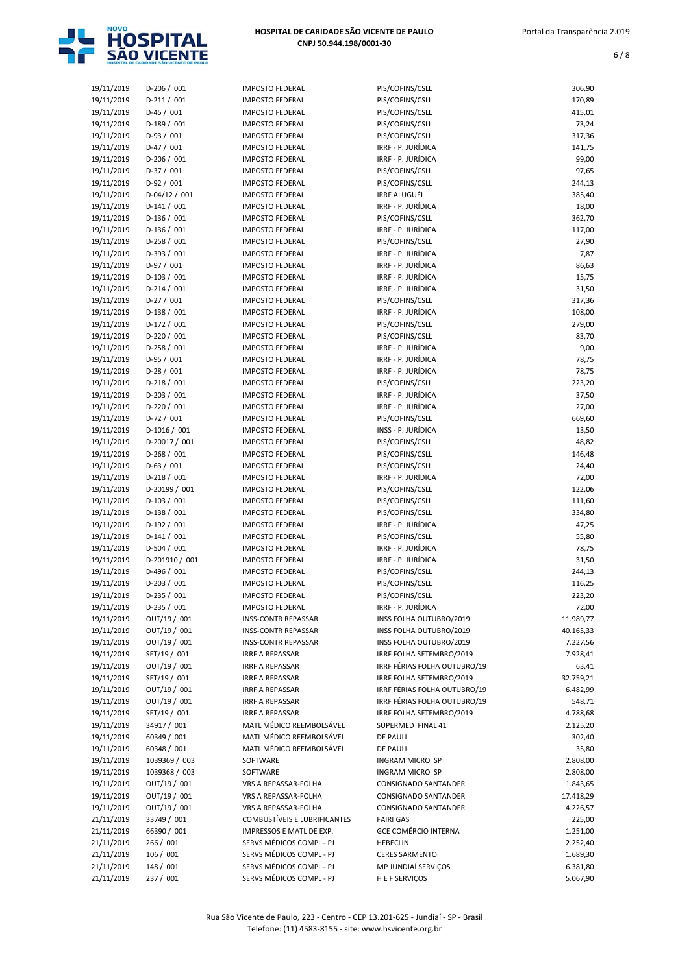

| 19/11/2019 | $D-206/001$    | <b>IMPOSTO FEDERAL</b>       | PIS/COFINS/CSLL              | 306,90    |
|------------|----------------|------------------------------|------------------------------|-----------|
| 19/11/2019 | $D-211/001$    | <b>IMPOSTO FEDERAL</b>       | PIS/COFINS/CSLL              | 170,89    |
| 19/11/2019 | $D-45/001$     | <b>IMPOSTO FEDERAL</b>       | PIS/COFINS/CSLL              | 415,01    |
| 19/11/2019 | $D-189/001$    | <b>IMPOSTO FEDERAL</b>       | PIS/COFINS/CSLL              | 73,24     |
| 19/11/2019 | $D-93/001$     | <b>IMPOSTO FEDERAL</b>       | PIS/COFINS/CSLL              | 317,36    |
| 19/11/2019 | $D-47/001$     | <b>IMPOSTO FEDERAL</b>       | IRRF - P. JURÍDICA           | 141,75    |
| 19/11/2019 | $D-206/001$    | <b>IMPOSTO FEDERAL</b>       | IRRF - P. JURÍDICA           | 99,00     |
| 19/11/2019 | D-37 / 001     | <b>IMPOSTO FEDERAL</b>       | PIS/COFINS/CSLL              | 97,65     |
| 19/11/2019 | $D-92/001$     | <b>IMPOSTO FEDERAL</b>       | PIS/COFINS/CSLL              | 244,13    |
| 19/11/2019 | $D-04/12/001$  | <b>IMPOSTO FEDERAL</b>       | <b>IRRF ALUGUÉL</b>          | 385,40    |
| 19/11/2019 | $D-141/001$    | <b>IMPOSTO FEDERAL</b>       | IRRF - P. JURÍDICA           | 18,00     |
| 19/11/2019 | $D-136/001$    | <b>IMPOSTO FEDERAL</b>       | PIS/COFINS/CSLL              | 362,70    |
| 19/11/2019 | $D-136 / 001$  | <b>IMPOSTO FEDERAL</b>       | IRRF - P. JURÍDICA           | 117,00    |
|            | $D-258/001$    | <b>IMPOSTO FEDERAL</b>       | PIS/COFINS/CSLL              | 27,90     |
| 19/11/2019 |                |                              |                              |           |
| 19/11/2019 | $D-393 / 001$  | <b>IMPOSTO FEDERAL</b>       | IRRF - P. JURÍDICA           | 7,87      |
| 19/11/2019 | $D-97/001$     | <b>IMPOSTO FEDERAL</b>       | IRRF - P. JURÍDICA           | 86,63     |
| 19/11/2019 | $D-103 / 001$  | <b>IMPOSTO FEDERAL</b>       | IRRF - P. JURÍDICA           | 15,75     |
| 19/11/2019 | $D-214/001$    | <b>IMPOSTO FEDERAL</b>       | IRRF - P. JURÍDICA           | 31,50     |
| 19/11/2019 | $D-27/001$     | <b>IMPOSTO FEDERAL</b>       | PIS/COFINS/CSLL              | 317,36    |
| 19/11/2019 | $D-138/001$    | <b>IMPOSTO FEDERAL</b>       | IRRF - P. JURÍDICA           | 108,00    |
| 19/11/2019 | $D-172 / 001$  | <b>IMPOSTO FEDERAL</b>       | PIS/COFINS/CSLL              | 279,00    |
| 19/11/2019 | $D-220/001$    | <b>IMPOSTO FEDERAL</b>       | PIS/COFINS/CSLL              | 83,70     |
| 19/11/2019 | $D-258/001$    | <b>IMPOSTO FEDERAL</b>       | IRRF - P. JURÍDICA           | 9,00      |
| 19/11/2019 | $D-95/001$     | <b>IMPOSTO FEDERAL</b>       | IRRF - P. JURÍDICA           | 78,75     |
| 19/11/2019 | $D-28/001$     | <b>IMPOSTO FEDERAL</b>       | IRRF - P. JURÍDICA           | 78,75     |
| 19/11/2019 | $D-218/001$    | <b>IMPOSTO FEDERAL</b>       | PIS/COFINS/CSLL              | 223,20    |
| 19/11/2019 | $D-203 / 001$  | <b>IMPOSTO FEDERAL</b>       | IRRF - P. JURÍDICA           | 37,50     |
| 19/11/2019 | $D-220/001$    | <b>IMPOSTO FEDERAL</b>       | IRRF - P. JURÍDICA           | 27,00     |
| 19/11/2019 | $D-72/001$     | <b>IMPOSTO FEDERAL</b>       | PIS/COFINS/CSLL              | 669,60    |
|            | $D-1016/001$   | <b>IMPOSTO FEDERAL</b>       | INSS - P. JURÍDICA           | 13,50     |
| 19/11/2019 |                |                              |                              |           |
| 19/11/2019 | D-20017 / 001  | <b>IMPOSTO FEDERAL</b>       | PIS/COFINS/CSLL              | 48,82     |
| 19/11/2019 | $D-268 / 001$  | <b>IMPOSTO FEDERAL</b>       | PIS/COFINS/CSLL              | 146,48    |
| 19/11/2019 | $D-63 / 001$   | <b>IMPOSTO FEDERAL</b>       | PIS/COFINS/CSLL              | 24,40     |
| 19/11/2019 | $D-218/001$    | <b>IMPOSTO FEDERAL</b>       | IRRF - P. JURÍDICA           | 72,00     |
| 19/11/2019 | D-20199 / 001  | <b>IMPOSTO FEDERAL</b>       | PIS/COFINS/CSLL              | 122,06    |
| 19/11/2019 | $D-103 / 001$  | <b>IMPOSTO FEDERAL</b>       | PIS/COFINS/CSLL              | 111,60    |
| 19/11/2019 | $D-138/001$    | <b>IMPOSTO FEDERAL</b>       | PIS/COFINS/CSLL              | 334,80    |
| 19/11/2019 | $D-192/001$    | <b>IMPOSTO FEDERAL</b>       | IRRF - P. JURÍDICA           | 47,25     |
| 19/11/2019 | $D-141/001$    | <b>IMPOSTO FEDERAL</b>       | PIS/COFINS/CSLL              | 55,80     |
| 19/11/2019 | $D-504 / 001$  | <b>IMPOSTO FEDERAL</b>       | IRRF - P. JURÍDICA           | 78,75     |
| 19/11/2019 | D-201910 / 001 | <b>IMPOSTO FEDERAL</b>       | IRRF - P. JURÍDICA           | 31,50     |
| 19/11/2019 | $D-496 / 001$  | <b>IMPOSTO FEDERAL</b>       | PIS/COFINS/CSLL              | 244,13    |
| 19/11/2019 | $D-203 / 001$  | <b>IMPOSTO FEDERAL</b>       | PIS/COFINS/CSLL              | 116,25    |
| 19/11/2019 | $D-235 / 001$  | <b>IMPOSTO FEDERAL</b>       | PIS/COFINS/CSLL              | 223,20    |
| 19/11/2019 | $D-235 / 001$  | <b>IMPOSTO FEDERAL</b>       | IRRF - P. JURÍDICA           | 72,00     |
| 19/11/2019 | OUT/19 / 001   | <b>INSS-CONTR REPASSAR</b>   | INSS FOLHA OUTUBRO/2019      | 11.989,77 |
| 19/11/2019 | OUT/19 / 001   | <b>INSS-CONTR REPASSAR</b>   | INSS FOLHA OUTUBRO/2019      | 40.165,33 |
| 19/11/2019 | OUT/19 / 001   | <b>INSS-CONTR REPASSAR</b>   | INSS FOLHA OUTUBRO/2019      | 7.227,56  |
|            |                | <b>IRRF A REPASSAR</b>       | IRRF FOLHA SETEMBRO/2019     | 7.928,41  |
| 19/11/2019 | SET/19 / 001   |                              |                              |           |
| 19/11/2019 | OUT/19 / 001   | IRRF A REPASSAR              | IRRF FÉRIAS FOLHA OUTUBRO/19 | 63,41     |
| 19/11/2019 | SET/19 / 001   | <b>IRRF A REPASSAR</b>       | IRRF FOLHA SETEMBRO/2019     | 32.759,21 |
| 19/11/2019 | OUT/19 / 001   | IRRF A REPASSAR              | IRRF FÉRIAS FOLHA OUTUBRO/19 | 6.482,99  |
| 19/11/2019 | OUT/19 / 001   | <b>IRRF A REPASSAR</b>       | IRRF FÉRIAS FOLHA OUTUBRO/19 | 548,71    |
| 19/11/2019 | SET/19 / 001   | <b>IRRF A REPASSAR</b>       | IRRF FOLHA SETEMBRO/2019     | 4.788,68  |
| 19/11/2019 | 34917 / 001    | MATL MÉDICO REEMBOLSÁVEL     | SUPERMED FINAL 41            | 2.125,20  |
| 19/11/2019 | 60349 / 001    | MATL MÉDICO REEMBOLSÁVEL     | <b>DE PAULI</b>              | 302,40    |
| 19/11/2019 | 60348 / 001    | MATL MÉDICO REEMBOLSÁVEL     | <b>DE PAULI</b>              | 35,80     |
| 19/11/2019 | 1039369 / 003  | SOFTWARE                     | INGRAM MICRO SP              | 2.808,00  |
| 19/11/2019 | 1039368 / 003  | SOFTWARE                     | INGRAM MICRO SP              | 2.808,00  |
| 19/11/2019 | OUT/19 / 001   | VRS A REPASSAR-FOLHA         | CONSIGNADO SANTANDER         | 1.843,65  |
| 19/11/2019 | OUT/19 / 001   | VRS A REPASSAR-FOLHA         | CONSIGNADO SANTANDER         | 17.418,29 |
| 19/11/2019 | OUT/19 / 001   | VRS A REPASSAR-FOLHA         | CONSIGNADO SANTANDER         | 4.226,57  |
| 21/11/2019 | 33749 / 001    | COMBUSTÍVEIS E LUBRIFICANTES | <b>FAIRI GAS</b>             | 225,00    |
| 21/11/2019 | 66390 / 001    | IMPRESSOS E MATL DE EXP.     | <b>GCE COMÉRCIO INTERNA</b>  | 1.251,00  |
| 21/11/2019 | 266 / 001      | SERVS MÉDICOS COMPL - PJ     | <b>HEBECLIN</b>              | 2.252,40  |
| 21/11/2019 | 106 / 001      | SERVS MÉDICOS COMPL - PJ     | <b>CERES SARMENTO</b>        | 1.689,30  |
|            | 148 / 001      | SERVS MÉDICOS COMPL - PJ     | MP JUNDIAÍ SERVIÇOS          | 6.381,80  |
| 21/11/2019 |                |                              |                              |           |
| 21/11/2019 | 237 / 001      | SERVS MÉDICOS COMPL - PJ     | H E F SERVIÇOS               | 5.067,90  |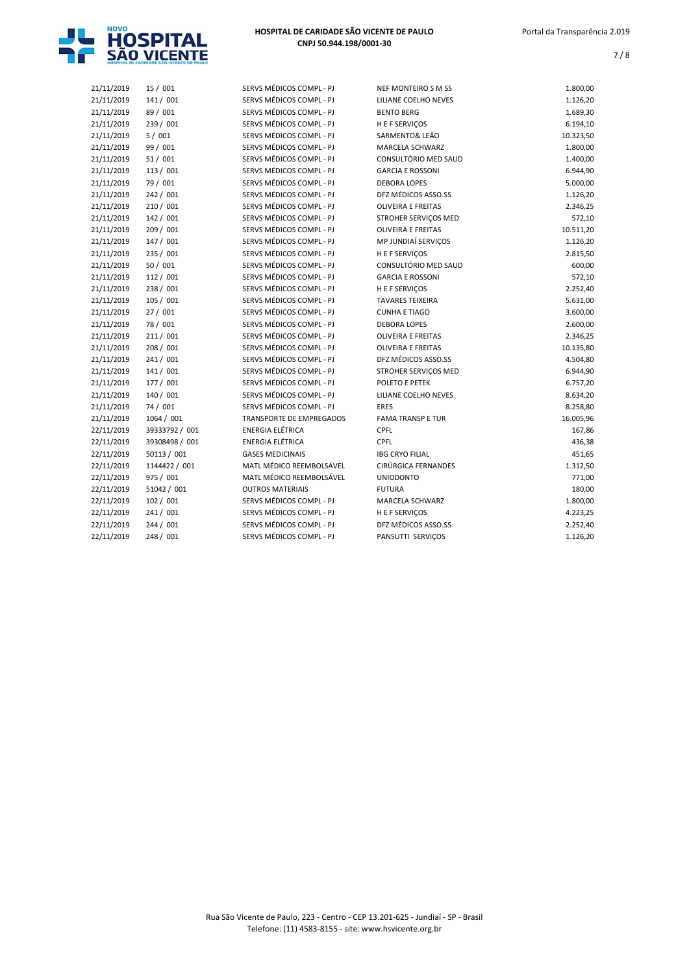

| 21/11/2019 | 15 / 001       | SERVS MÉDICOS COMPL - PJ        | <b>NEF MONTEIRO S M SS</b> | 1.800,00  |
|------------|----------------|---------------------------------|----------------------------|-----------|
| 21/11/2019 | 141 / 001      | SERVS MÉDICOS COMPL - PJ        | LILIANE COELHO NEVES       | 1.126,20  |
| 21/11/2019 | 89 / 001       | SERVS MÉDICOS COMPL - PJ        | <b>BENTO BERG</b>          | 1.689,30  |
| 21/11/2019 | 239 / 001      | SERVS MÉDICOS COMPL - PJ        | H E F SERVIÇOS             | 6.194,10  |
| 21/11/2019 | 5/001          | SERVS MÉDICOS COMPL - PJ        | SARMENTO& LEÃO             | 10.323,50 |
| 21/11/2019 | 99 / 001       | SERVS MÉDICOS COMPL - PJ        | MARCELA SCHWARZ            | 1.800,00  |
| 21/11/2019 | 51 / 001       | SERVS MÉDICOS COMPL - PJ        | CONSULTÓRIO MED SAUD       | 1.400,00  |
| 21/11/2019 | 113 / 001      | SERVS MÉDICOS COMPL - PJ        | <b>GARCIA E ROSSONI</b>    | 6.944,90  |
| 21/11/2019 | 79 / 001       | SERVS MÉDICOS COMPL - PJ        | <b>DEBORA LOPES</b>        | 5.000,00  |
| 21/11/2019 | 242 / 001      | SERVS MÉDICOS COMPL - PJ        | DFZ MÉDICOS ASSO.SS        | 1.126,20  |
| 21/11/2019 | 210 / 001      | SERVS MÉDICOS COMPL - PJ        | <b>OLIVEIRA E FREITAS</b>  | 2.346,25  |
| 21/11/2019 | 142 / 001      | SERVS MÉDICOS COMPL - PJ        | STROHER SERVICOS MED       | 572,10    |
| 21/11/2019 | 209 / 001      | SERVS MÉDICOS COMPL - PJ        | <b>OLIVEIRA E FREITAS</b>  | 10.511,20 |
| 21/11/2019 | 147 / 001      | SERVS MÉDICOS COMPL - PJ        | MP JUNDIAÍ SERVIÇOS        | 1.126,20  |
| 21/11/2019 | 235 / 001      | SERVS MÉDICOS COMPL - PJ        | <b>HEFSERVICOS</b>         | 2.815,50  |
| 21/11/2019 | 50 / 001       | SERVS MÉDICOS COMPL - PJ        | CONSULTÓRIO MED SAUD       | 600,00    |
| 21/11/2019 | 112 / 001      | SERVS MÉDICOS COMPL - PJ        | <b>GARCIA E ROSSONI</b>    | 572,10    |
| 21/11/2019 | 238 / 001      | SERVS MÉDICOS COMPL - PJ        | <b>HEFSERVIÇOS</b>         | 2.252,40  |
| 21/11/2019 | 105 / 001      | SERVS MÉDICOS COMPL - PJ        | <b>TAVARES TEIXEIRA</b>    | 5.631,00  |
| 21/11/2019 | 27/001         | SERVS MÉDICOS COMPL - PJ        | <b>CUNHA E TIAGO</b>       | 3.600,00  |
| 21/11/2019 | 78 / 001       | SERVS MÉDICOS COMPL - PJ        | <b>DEBORA LOPES</b>        | 2.600,00  |
| 21/11/2019 | 211/001        | SERVS MÉDICOS COMPL - PJ        | <b>OLIVEIRA E FREITAS</b>  | 2.346,25  |
| 21/11/2019 | 208 / 001      | SERVS MÉDICOS COMPL - PJ        | <b>OLIVEIRA E FREITAS</b>  | 10.135,80 |
| 21/11/2019 | 241 / 001      | SERVS MÉDICOS COMPL - PJ        | DFZ MÉDICOS ASSO.SS        | 4.504,80  |
| 21/11/2019 | 141 / 001      | SERVS MÉDICOS COMPL - PJ        | STROHER SERVIÇOS MED       | 6.944,90  |
| 21/11/2019 | 177 / 001      | SERVS MÉDICOS COMPL - PJ        | POLETO E PETEK             | 6.757,20  |
| 21/11/2019 | 140 / 001      | SERVS MÉDICOS COMPL - PJ        | LILIANE COELHO NEVES       | 8.634,20  |
| 21/11/2019 | 74 / 001       | SERVS MÉDICOS COMPL - PJ        | <b>ERES</b>                | 8.258,80  |
| 21/11/2019 | 1064 / 001     | <b>TRANSPORTE DE EMPREGADOS</b> | <b>FAMA TRANSP E TUR</b>   | 16.005,96 |
| 22/11/2019 | 39333792 / 001 | <b>ENERGIA ELÉTRICA</b>         | CPFL                       | 167,86    |
| 22/11/2019 | 39308498 / 001 | <b>ENERGIA ELÉTRICA</b>         | CPFL                       | 436,38    |
| 22/11/2019 | 50113 / 001    | <b>GASES MEDICINAIS</b>         | <b>IBG CRYO FILIAL</b>     | 451,65    |
| 22/11/2019 | 1144422 / 001  | MATL MÉDICO REEMBOLSÁVEL        | CIRÚRGICA FERNANDES        | 1.312,50  |
| 22/11/2019 | 975 / 001      | MATL MÉDICO REEMBOLSÁVEL        | <b>UNIODONTO</b>           | 771,00    |
| 22/11/2019 | 51042 / 001    | <b>OUTROS MATERIAIS</b>         | <b>FUTURA</b>              | 180,00    |
| 22/11/2019 | 102 / 001      | SERVS MÉDICOS COMPL - PJ        | MARCELA SCHWARZ            | 1.800,00  |
| 22/11/2019 | 241 / 001      | SERVS MÉDICOS COMPL - PJ        | H E F SERVIÇOS             | 4.223,25  |
| 22/11/2019 | 244 / 001      | SERVS MÉDICOS COMPL - PJ        | DFZ MÉDICOS ASSO.SS        | 2.252,40  |
| 22/11/2019 | 248 / 001      | SERVS MÉDICOS COMPL - PJ        | PANSUTTI SERVICOS          | 1.126,20  |
|            |                |                                 |                            |           |